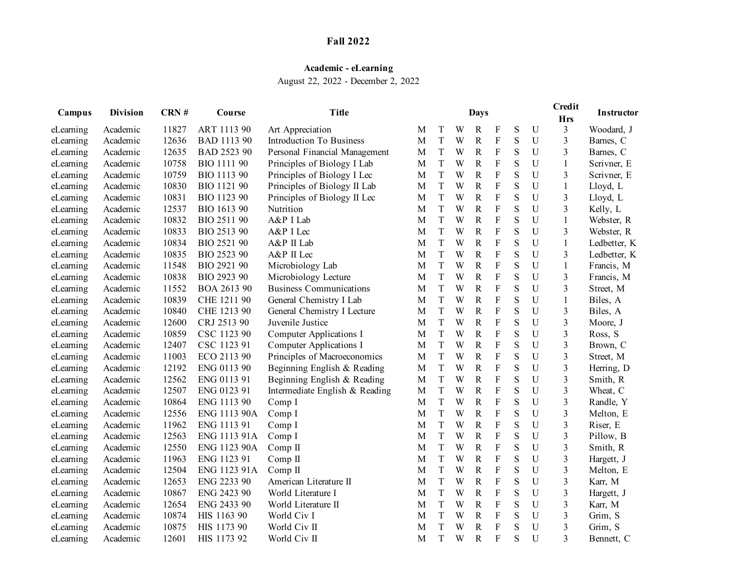## **Academic - eLearning**

August 22, 2022 - December 2, 2022

| Campus    | <b>Division</b> | CRN # | <b>Title</b><br>Course |                                |   |             |   | <b>Days</b>  |                           | Credit<br><b>Hrs</b> | <b>Instructor</b>         |                         |              |
|-----------|-----------------|-------|------------------------|--------------------------------|---|-------------|---|--------------|---------------------------|----------------------|---------------------------|-------------------------|--------------|
| eLearning | Academic        | 11827 | ART 1113 90            | Art Appreciation               | M | T           | W | $\mathbf R$  | $\boldsymbol{\mathrm{F}}$ | $\mathbf S$          | U                         | 3                       | Woodard, J   |
| eLearning | Academic        | 12636 | <b>BAD 1113 90</b>     | Introduction To Business       | M | T           | W | $\mathbf R$  | $\boldsymbol{\mathrm{F}}$ | S                    | $\mathbf U$               | 3                       | Barnes, C    |
| eLearning | Academic        | 12635 | BAD 2523 90            | Personal Financial Management  | M | T           | W | $\mathbf R$  | $\rm F$                   | S                    | $\mathbf U$               | 3                       | Barnes, C    |
| eLearning | Academic        | 10758 | BIO 1111 90            | Principles of Biology I Lab    | M | T           | W | $\mathbf R$  | ${\bf F}$                 | S                    | $\mathbf U$               | $\mathbf{1}$            | Scrivner, E  |
| eLearning | Academic        | 10759 | BIO 1113 90            | Principles of Biology I Lec    | M | T           | W | $\mathbb{R}$ | ${\bf F}$                 | S                    | $\mathbf U$               | 3                       | Scrivner, E  |
| eLearning | Academic        | 10830 | BIO 1121 90            | Principles of Biology II Lab   | M | T           | W | $\mathbb{R}$ | ${\bf F}$                 | S                    | $\mathbf U$               | $\mathbf{1}$            | Lloyd, L     |
| eLearning | Academic        | 10831 | BIO 1123 90            | Principles of Biology II Lec   | M | T           | W | $\mathbb{R}$ | ${\bf F}$                 | S                    | $\mathbf U$               | 3                       | Lloyd, L     |
| eLearning | Academic        | 12537 | BIO 1613 90            | Nutrition                      | M | T           | W | $\mathbf R$  | ${\bf F}$                 | S                    | $\mathbf U$               | 3                       | Kelly, L     |
| eLearning | Academic        | 10832 | BIO 2511 90            | A&P I Lab                      | M | T           | W | R            | $\rm F$                   | S                    | $\mathbf U$               | $\mathbf{1}$            | Webster, R   |
| eLearning | Academic        | 10833 | BIO 2513 90            | A&P I Lec                      | M | T           | W | R            | ${\bf F}$                 | S                    | U                         | 3                       | Webster, R   |
| eLearning | Academic        | 10834 | BIO 2521 90            | A&P II Lab                     | M | T           | W | R            | ${\bf F}$                 | S                    | $\mathbf U$               | $\mathbf{1}$            | Ledbetter, K |
| eLearning | Academic        | 10835 | BIO 2523 90            | A&P II Lec                     | M | $\mathbf T$ | W | $\mathbb{R}$ | ${\bf F}$                 | S                    | $\mathbf U$               | 3                       | Ledbetter, K |
| eLearning | Academic        | 11548 | BIO 2921 90            | Microbiology Lab               | M | T           | W | R            | $\mathbf F$               | S                    | $\mathbf U$               | $\mathbf{1}$            | Francis, M   |
| eLearning | Academic        | 10838 | BIO 2923 90            | Microbiology Lecture           | M | $\mathbf T$ | W | R            | ${\bf F}$                 | S                    | U                         | 3                       | Francis, M   |
| eLearning | Academic        | 11552 | BOA 2613 90            | <b>Business Communications</b> | M | T           | W | R            | ${\bf F}$                 | S                    | U                         | 3                       | Street, M    |
| eLearning | Academic        | 10839 | CHE 1211 90            | General Chemistry I Lab        | M | T           | W | R            | ${\bf F}$                 | S                    | U                         | $\mathbf{1}$            | Biles, A     |
| eLearning | Academic        | 10840 | CHE 1213 90            | General Chemistry I Lecture    | M | $\rm T$     | W | R            | ${\bf F}$                 | S                    | U                         | 3                       | Biles, A     |
| eLearning | Academic        | 12600 | CRJ 2513 90            | Juvenile Justice               | M | T           | W | R            | F                         | S                    | U                         | 3                       | Moore, J     |
| eLearning | Academic        | 10859 | CSC 1123 90            | <b>Computer Applications I</b> | M | $\rm T$     | W | R            | ${\bf F}$                 | S                    | U                         | 3                       | Ross, S      |
| eLearning | Academic        | 12407 | CSC 1123 91            | <b>Computer Applications I</b> | M | T           | W | R            | ${\bf F}$                 | S                    | U                         | 3                       | Brown, C     |
| eLearning | Academic        | 11003 | ECO 2113 90            | Principles of Macroeconomics   | M | T           | W | R            | ${\bf F}$                 | ${\bf S}$            | U                         | $\overline{\mathbf{3}}$ | Street, M    |
| eLearning | Academic        | 12192 | ENG 0113 90            | Beginning English & Reading    | M | T           | W | R            | ${\bf F}$                 | ${\bf S}$            | U                         | $\overline{\mathbf{3}}$ | Herring, D   |
| eLearning | Academic        | 12562 | ENG 0113 91            | Beginning English & Reading    | M | T           | W | R            | ${\bf F}$                 | S                    | $\boldsymbol{\mathsf{U}}$ | $\overline{\mathbf{3}}$ | Smith, R     |
| eLearning | Academic        | 12507 | ENG 0123 91            | Intermediate English & Reading | M | $\mathbf T$ | W | R            | ${\bf F}$                 | S                    | $\boldsymbol{\mathsf{U}}$ | $\overline{\mathbf{3}}$ | Wheat, C     |
| eLearning | Academic        | 10864 | ENG 1113 90            | Comp I                         | M | $\mathbf T$ | W | $\mathbb{R}$ | ${\bf F}$                 | S                    | $\mathbf U$               | $\overline{\mathbf{3}}$ | Randle, Y    |
| eLearning | Academic        | 12556 | ENG 1113 90A           | Comp I                         | M | $\mathbf T$ | W | $\mathbf R$  | ${\bf F}$                 | S                    | $\mathbf U$               | 3                       | Melton, E    |
| eLearning | Academic        | 11962 | ENG 1113 91            | Comp I                         | M | T           | W | $\mathbb{R}$ | ${\bf F}$                 | S                    | $\overline{U}$            | 3                       | Riser, E     |
| eLearning | Academic        | 12563 | ENG 1113 91A           | Comp I                         | M | T           | W | $\mathbb{R}$ | ${\bf F}$                 | S                    | $\mathbf U$               | 3                       | Pillow, B    |
| eLearning | Academic        | 12550 | ENG 1123 90A           | Comp II                        | M | $\mathbf T$ | W | $\mathbb{R}$ | $\mathbf F$               | S                    | U                         | 3                       | Smith, R     |
| eLearning | Academic        | 11963 | ENG 1123 91            | Comp II                        | M | T           | W | $\mathbf R$  | ${\bf F}$                 | S                    | U                         | 3                       | Hargett, J   |
| eLearning | Academic        | 12504 | ENG 1123 91A           | Comp $\Pi$                     | M | T           | W | R            | ${\bf F}$                 | S                    | U                         | 3                       | Melton, E    |
| eLearning | Academic        | 12653 | ENG 2233 90            | American Literature II         | M | T           | W | R            | ${\bf F}$                 | S                    | U                         | 3                       | Karr, M      |
| eLearning | Academic        | 10867 | ENG 2423 90            | World Literature I             | M | T           | W | $\mathbb{R}$ | ${\bf F}$                 | S                    | U                         | 3                       | Hargett, J   |
| eLearning | Academic        | 12654 | ENG 2433 90            | World Literature II            | M | T           | W | $\mathbb{R}$ | ${\bf F}$                 | S                    | $\mathbf U$               | 3                       | Karr, M      |
| eLearning | Academic        | 10874 | HIS 1163 90            | World Civ I                    | M | T           | W | R            | ${\bf F}$                 | S                    | $\mathbf U$               | $\overline{\mathbf{3}}$ | Grim, S      |
| eLearning | Academic        | 10875 | HIS 1173 90            | World Civ II                   | M | T           | W | $\mathbb{R}$ | ${\bf F}$                 | S                    | $\mathbf U$               | $\overline{\mathbf{3}}$ | Grim, S      |
| eLearning | Academic        | 12601 | HIS 1173 92            | World Civ II                   | M | T           | W | R            | F                         | S                    | $\mathbf U$               | 3                       | Bennett, C   |